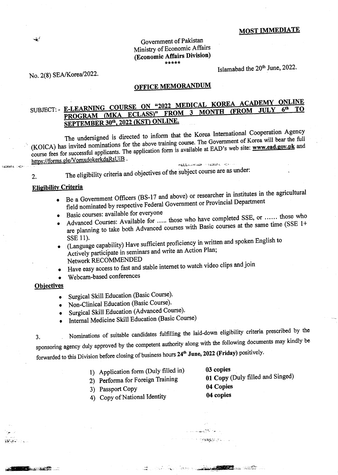# **MOST IMMEDIATE**

### Government of Pakistan Ministry of Economic Affairs (Economic Affairs Division) \*\*\*\*\*

No. 2(8) SEA/Korea/2022.

 $\tilde{\cdot}$ 

**GERMA 1987** 

iskator.

**North Adams** 

Islamabad the 20<sup>th</sup> June, 2022.

# **OFFICE MEMORANDUM**

# SUBJECT:- E-LEARNING COURSE ON "2022 MEDICAL KOREA ACADEMY ONLINE PROGRAM (MKA ECLASS)" FROM 3 MONTH (FROM JULY SEPTEMBER 30th, 2022 (KST) ONLINE.

The undersigned is directed to inform that the Korea International Cooperation Agency (KOICA) has invited nominations for the above training course. The Government of Korea will bear the full course fees for successful applicants. The application form is available at EAD's web site: www.ead.gov.pk and https://forms.gle/VomxdokerkdaRsUiB.

The eligibility criteria and objectives of the subject course are as under:  $\overline{2}$ .

## **Eligibility Criteria**

Be a Government Officers (BS-17 and above) or researcher in institutes in the agricultural field nominated by respective Federal Government or Provincial Department  $\bullet$ 

**HELL ANNIES IN NUMBER COMMON** 

- Basic courses: available for everyone
- Advanced Courses: Available for ..... those who have completed SSE, or ...... those who are planning to take both Advanced courses with Basic courses at the same time (SSE 1+ SSE 11).
- (Language capability) Have sufficient proficiency in written and spoken English to Actively participate in seminars and write an Action Plan; Network RECOMMENDED
- Have easy access to fast and stable internet to watch video clips and join
- Webcam-based conferences

#### **Objectives**

- Surgical Skill Education (Basic Course).
- Non-Clinical Education (Basic Course).
- Surgical Skill Education (Advanced Course).
- Internal Medicine Skill Education (Basic Course)

Nominations of suitable candidates fulfilling the laid-down eligibility criteria prescribed by the 3. sponsoring agency duly approved by the competent authority along with the following documents may kindly be forwarded to this Division before closing of business hours 24<sup>th</sup> June, 2022 (Friday) positively.

- 1) Application form (Duly filled in)
- 2) Performa for Foreign Training
- 3) Passport Copy
- 4) Copy of National Identity

03 copies 01 Copy (Duly filled and Singed) 04 Copies 04 copies

8958500

Reserve the communication of the contract of the contract of the contract of the contract of the contract of the